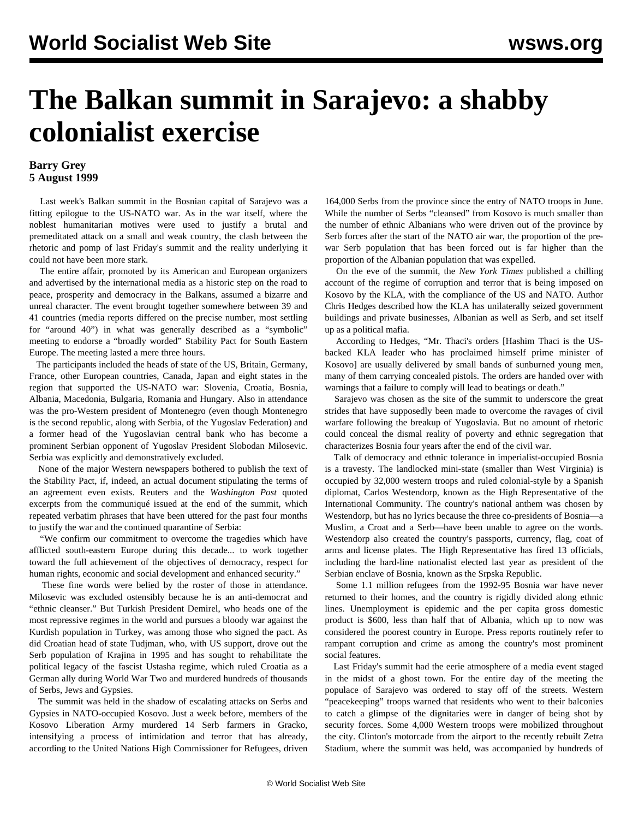## **The Balkan summit in Sarajevo: a shabby colonialist exercise**

## **Barry Grey 5 August 1999**

 Last week's Balkan summit in the Bosnian capital of Sarajevo was a fitting epilogue to the US-NATO war. As in the war itself, where the noblest humanitarian motives were used to justify a brutal and premeditated attack on a small and weak country, the clash between the rhetoric and pomp of last Friday's summit and the reality underlying it could not have been more stark.

 The entire affair, promoted by its American and European organizers and advertised by the international media as a historic step on the road to peace, prosperity and democracy in the Balkans, assumed a bizarre and unreal character. The event brought together somewhere between 39 and 41 countries (media reports differed on the precise number, most settling for "around 40") in what was generally described as a "symbolic" meeting to endorse a "broadly worded" Stability Pact for South Eastern Europe. The meeting lasted a mere three hours.

 The participants included the heads of state of the US, Britain, Germany, France, other European countries, Canada, Japan and eight states in the region that supported the US-NATO war: Slovenia, Croatia, Bosnia, Albania, Macedonia, Bulgaria, Romania and Hungary. Also in attendance was the pro-Western president of Montenegro (even though Montenegro is the second republic, along with Serbia, of the Yugoslav Federation) and a former head of the Yugoslavian central bank who has become a prominent Serbian opponent of Yugoslav President Slobodan Milosevic. Serbia was explicitly and demonstratively excluded.

 None of the major Western newspapers bothered to publish the text of the Stability Pact, if, indeed, an actual document stipulating the terms of an agreement even exists. Reuters and the *Washington Post* quoted excerpts from the communiqué issued at the end of the summit, which repeated verbatim phrases that have been uttered for the past four months to justify the war and the continued quarantine of Serbia:

 "We confirm our commitment to overcome the tragedies which have afflicted south-eastern Europe during this decade... to work together toward the full achievement of the objectives of democracy, respect for human rights, economic and social development and enhanced security."

 These fine words were belied by the roster of those in attendance. Milosevic was excluded ostensibly because he is an anti-democrat and "ethnic cleanser." But Turkish President Demirel, who heads one of the most repressive regimes in the world and pursues a bloody war against the Kurdish population in Turkey, was among those who signed the pact. As did Croatian head of state Tudjman, who, with US support, drove out the Serb population of Krajina in 1995 and has sought to rehabilitate the political legacy of the fascist Ustasha regime, which ruled Croatia as a German ally during World War Two and murdered hundreds of thousands of Serbs, Jews and Gypsies.

 The summit was held in the shadow of escalating attacks on Serbs and Gypsies in NATO-occupied Kosovo. Just a week before, members of the Kosovo Liberation Army murdered 14 Serb farmers in Gracko, intensifying a process of intimidation and terror that has already, according to the United Nations High Commissioner for Refugees, driven

164,000 Serbs from the province since the entry of NATO troops in June. While the number of Serbs "cleansed" from Kosovo is much smaller than the number of ethnic Albanians who were driven out of the province by Serb forces after the start of the NATO air war, the proportion of the prewar Serb population that has been forced out is far higher than the proportion of the Albanian population that was expelled.

 On the eve of the summit, the *New York Times* published a chilling account of the regime of corruption and terror that is being imposed on Kosovo by the KLA, with the compliance of the US and NATO. Author Chris Hedges described how the KLA has unilaterally seized government buildings and private businesses, Albanian as well as Serb, and set itself up as a political mafia.

 According to Hedges, "Mr. Thaci's orders [Hashim Thaci is the USbacked KLA leader who has proclaimed himself prime minister of Kosovo] are usually delivered by small bands of sunburned young men, many of them carrying concealed pistols. The orders are handed over with warnings that a failure to comply will lead to beatings or death."

 Sarajevo was chosen as the site of the summit to underscore the great strides that have supposedly been made to overcome the ravages of civil warfare following the breakup of Yugoslavia. But no amount of rhetoric could conceal the dismal reality of poverty and ethnic segregation that characterizes Bosnia four years after the end of the civil war.

 Talk of democracy and ethnic tolerance in imperialist-occupied Bosnia is a travesty. The landlocked mini-state (smaller than West Virginia) is occupied by 32,000 western troops and ruled colonial-style by a Spanish diplomat, Carlos Westendorp, known as the High Representative of the International Community. The country's national anthem was chosen by Westendorp, but has no lyrics because the three co-presidents of Bosnia—a Muslim, a Croat and a Serb—have been unable to agree on the words. Westendorp also created the country's passports, currency, flag, coat of arms and license plates. The High Representative has fired 13 officials, including the hard-line nationalist elected last year as president of the Serbian enclave of Bosnia, known as the Srpska Republic.

 Some 1.1 million refugees from the 1992-95 Bosnia war have never returned to their homes, and the country is rigidly divided along ethnic lines. Unemployment is epidemic and the per capita gross domestic product is \$600, less than half that of Albania, which up to now was considered the poorest country in Europe. Press reports routinely refer to rampant corruption and crime as among the country's most prominent social features.

 Last Friday's summit had the eerie atmosphere of a media event staged in the midst of a ghost town. For the entire day of the meeting the populace of Sarajevo was ordered to stay off of the streets. Western "peacekeeping" troops warned that residents who went to their balconies to catch a glimpse of the dignitaries were in danger of being shot by security forces. Some 4,000 Western troops were mobilized throughout the city. Clinton's motorcade from the airport to the recently rebuilt Zetra Stadium, where the summit was held, was accompanied by hundreds of